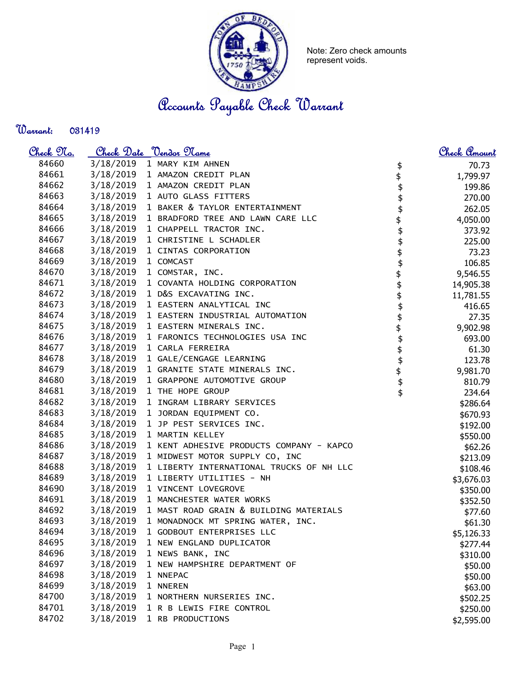

Note: Zero check amounts represent voids.

Accounts Payable Check Warrant

## Warrant:

| <u>Check No.</u> |           | Check Date <u>Vendor Name</u>            |          | Check Amount |
|------------------|-----------|------------------------------------------|----------|--------------|
| 84660            | 3/18/2019 | 1 MARY KIM AHNEN                         | \$       | 70.73        |
| 84661            | 3/18/2019 | 1 AMAZON CREDIT PLAN                     | \$       | 1,799.97     |
| 84662            | 3/18/2019 | 1 AMAZON CREDIT PLAN                     |          | 199.86       |
| 84663            | 3/18/2019 | 1 AUTO GLASS FITTERS                     |          | 270.00       |
| 84664            | 3/18/2019 | 1 BAKER & TAYLOR ENTERTAINMENT           |          | 262.05       |
| 84665            | 3/18/2019 | 1 BRADFORD TREE AND LAWN CARE LLC        |          | 4,050.00     |
| 84666            | 3/18/2019 | 1 CHAPPELL TRACTOR INC.                  |          | 373.92       |
| 84667            | 3/18/2019 | 1 CHRISTINE L SCHADLER                   |          | 225.00       |
| 84668            | 3/18/2019 | 1 CINTAS CORPORATION                     |          | 73.23        |
| 84669            | 3/18/2019 | 1 COMCAST                                |          | 106.85       |
| 84670            | 3/18/2019 | 1 COMSTAR, INC.                          |          | 9,546.55     |
| 84671            | 3/18/2019 | 1 COVANTA HOLDING CORPORATION            |          | 14,905.38    |
| 84672            | 3/18/2019 | 1 D&S EXCAVATING INC.                    |          | 11,781.55    |
| 84673            | 3/18/2019 | 1 EASTERN ANALYTICAL INC                 |          | 416.65       |
| 84674            | 3/18/2019 | 1 EASTERN INDUSTRIAL AUTOMATION          | \$       | 27.35        |
| 84675            | 3/18/2019 | 1 EASTERN MINERALS INC.                  | \$       | 9,902.98     |
| 84676            | 3/18/2019 | 1 FARONICS TECHNOLOGIES USA INC          |          | 693.00       |
| 84677            | 3/18/2019 | 1 CARLA FERREIRA                         |          | 61.30        |
| 84678            | 3/18/2019 | 1 GALE/CENGAGE LEARNING                  |          | 123.78       |
| 84679            | 3/18/2019 | 1 GRANITE STATE MINERALS INC.            |          | 9,981.70     |
| 84680            | 3/18/2019 | 1 GRAPPONE AUTOMOTIVE GROUP              | \$\$\$\$ | 810.79       |
| 84681            | 3/18/2019 | 1 THE HOPE GROUP                         |          | 234.64       |
| 84682            | 3/18/2019 | 1 INGRAM LIBRARY SERVICES                |          | \$286.64     |
| 84683            | 3/18/2019 | 1 JORDAN EQUIPMENT CO.                   |          | \$670.93     |
| 84684            | 3/18/2019 | 1 JP PEST SERVICES INC.                  |          | \$192.00     |
| 84685            | 3/18/2019 | 1 MARTIN KELLEY                          |          | \$550.00     |
| 84686            | 3/18/2019 | 1 KENT ADHESIVE PRODUCTS COMPANY - KAPCO |          | \$62.26      |
| 84687            | 3/18/2019 | 1 MIDWEST MOTOR SUPPLY CO, INC           |          | \$213.09     |
| 84688            | 3/18/2019 | 1 LIBERTY INTERNATIONAL TRUCKS OF NH LLC |          | \$108.46     |
| 84689            | 3/18/2019 | 1 LIBERTY UTILITIES - NH                 |          | \$3,676.03   |
| 84690            | 3/18/2019 | 1 VINCENT LOVEGROVE                      |          | \$350.00     |
| 84691            | 3/18/2019 | 1 MANCHESTER WATER WORKS                 |          | \$352.50     |
| 84692            | 3/18/2019 | 1 MAST ROAD GRAIN & BUILDING MATERIALS   |          | \$77.60      |
| 84693            | 3/18/2019 | 1 MONADNOCK MT SPRING WATER, INC.        |          | \$61.30      |
| 84694            | 3/18/2019 | 1 GODBOUT ENTERPRISES LLC                |          | \$5,126.33   |
| 84695            | 3/18/2019 | 1 NEW ENGLAND DUPLICATOR                 |          | \$277.44     |
| 84696            | 3/18/2019 | 1 NEWS BANK, INC                         |          | \$310.00     |
| 84697            | 3/18/2019 | 1 NEW HAMPSHIRE DEPARTMENT OF            |          | \$50.00      |
| 84698            | 3/18/2019 | 1 NNEPAC                                 |          | \$50.00      |
| 84699            | 3/18/2019 | 1 NNEREN                                 |          | \$63.00      |
| 84700            | 3/18/2019 | 1 NORTHERN NURSERIES INC.                |          | \$502.25     |
| 84701            | 3/18/2019 | 1 R B LEWIS FIRE CONTROL                 |          | \$250.00     |
| 84702            | 3/18/2019 | 1 RB PRODUCTIONS                         |          | \$2,595.00   |
|                  |           |                                          |          |              |